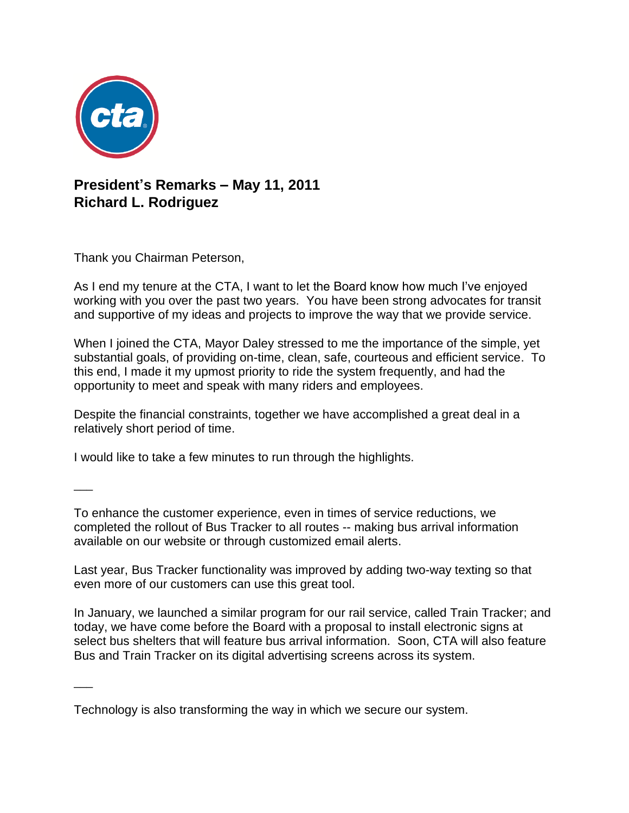

## **President's Remarks – May 11, 2011 Richard L. Rodriguez**

Thank you Chairman Peterson,

As I end my tenure at the CTA, I want to let the Board know how much I've enjoyed working with you over the past two years. You have been strong advocates for transit and supportive of my ideas and projects to improve the way that we provide service.

When I joined the CTA, Mayor Daley stressed to me the importance of the simple, yet substantial goals, of providing on-time, clean, safe, courteous and efficient service. To this end, I made it my upmost priority to ride the system frequently, and had the opportunity to meet and speak with many riders and employees.

Despite the financial constraints, together we have accomplished a great deal in a relatively short period of time.

I would like to take a few minutes to run through the highlights.

 $\overline{\phantom{a}}$ 

 $\overline{\phantom{a}}$ 

To enhance the customer experience, even in times of service reductions, we completed the rollout of Bus Tracker to all routes -- making bus arrival information available on our website or through customized email alerts.

Last year, Bus Tracker functionality was improved by adding two-way texting so that even more of our customers can use this great tool.

In January, we launched a similar program for our rail service, called Train Tracker; and today, we have come before the Board with a proposal to install electronic signs at select bus shelters that will feature bus arrival information. Soon, CTA will also feature Bus and Train Tracker on its digital advertising screens across its system.

Technology is also transforming the way in which we secure our system.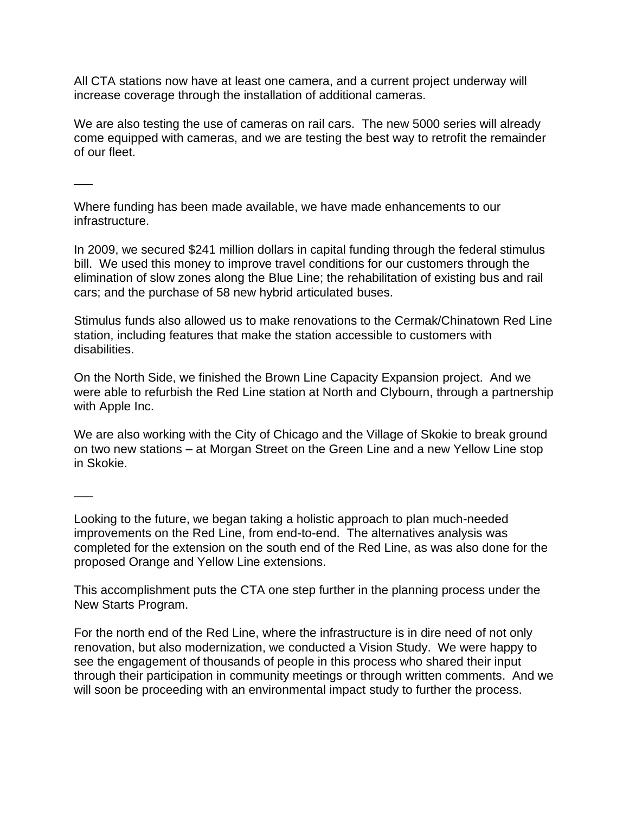All CTA stations now have at least one camera, and a current project underway will increase coverage through the installation of additional cameras.

We are also testing the use of cameras on rail cars. The new 5000 series will already come equipped with cameras, and we are testing the best way to retrofit the remainder of our fleet.

 $\overline{\phantom{a}}$ 

Where funding has been made available, we have made enhancements to our infrastructure.

In 2009, we secured \$241 million dollars in capital funding through the federal stimulus bill. We used this money to improve travel conditions for our customers through the elimination of slow zones along the Blue Line; the rehabilitation of existing bus and rail cars; and the purchase of 58 new hybrid articulated buses.

Stimulus funds also allowed us to make renovations to the Cermak/Chinatown Red Line station, including features that make the station accessible to customers with disabilities.

On the North Side, we finished the Brown Line Capacity Expansion project. And we were able to refurbish the Red Line station at North and Clybourn, through a partnership with Apple Inc.

We are also working with the City of Chicago and the Village of Skokie to break ground on two new stations – at Morgan Street on the Green Line and a new Yellow Line stop in Skokie.

 $\overline{\phantom{a}}$ 

Looking to the future, we began taking a holistic approach to plan much-needed improvements on the Red Line, from end-to-end. The alternatives analysis was completed for the extension on the south end of the Red Line, as was also done for the proposed Orange and Yellow Line extensions.

This accomplishment puts the CTA one step further in the planning process under the New Starts Program.

For the north end of the Red Line, where the infrastructure is in dire need of not only renovation, but also modernization, we conducted a Vision Study. We were happy to see the engagement of thousands of people in this process who shared their input through their participation in community meetings or through written comments. And we will soon be proceeding with an environmental impact study to further the process.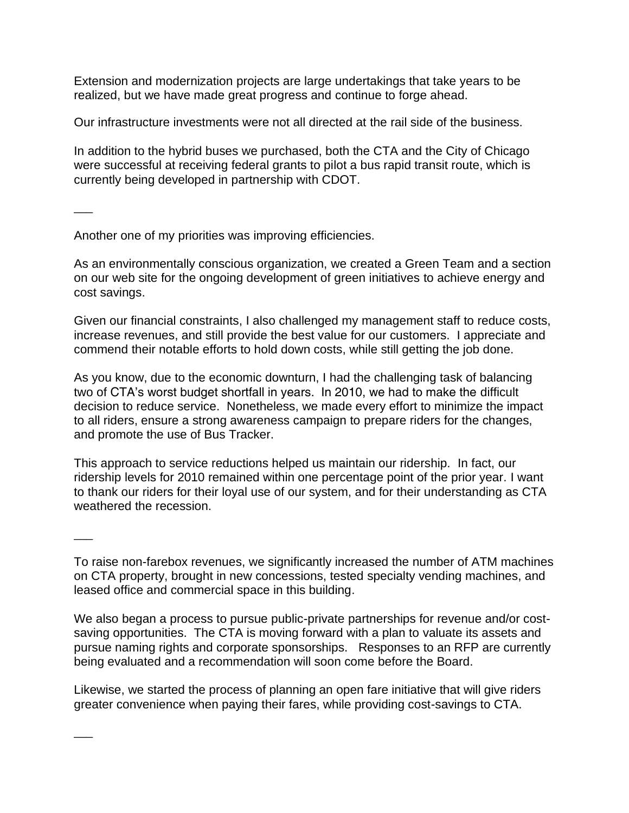Extension and modernization projects are large undertakings that take years to be realized, but we have made great progress and continue to forge ahead.

Our infrastructure investments were not all directed at the rail side of the business.

In addition to the hybrid buses we purchased, both the CTA and the City of Chicago were successful at receiving federal grants to pilot a bus rapid transit route, which is currently being developed in partnership with CDOT.

 $\overline{\phantom{a}}$ 

 $\overline{\phantom{a}}$ 

 $\overline{\phantom{a}}$ 

Another one of my priorities was improving efficiencies.

As an environmentally conscious organization, we created a Green Team and a section on our web site for the ongoing development of green initiatives to achieve energy and cost savings.

Given our financial constraints, I also challenged my management staff to reduce costs, increase revenues, and still provide the best value for our customers. I appreciate and commend their notable efforts to hold down costs, while still getting the job done.

As you know, due to the economic downturn, I had the challenging task of balancing two of CTA's worst budget shortfall in years. In 2010, we had to make the difficult decision to reduce service. Nonetheless, we made every effort to minimize the impact to all riders, ensure a strong awareness campaign to prepare riders for the changes, and promote the use of Bus Tracker.

This approach to service reductions helped us maintain our ridership. In fact, our ridership levels for 2010 remained within one percentage point of the prior year. I want to thank our riders for their loyal use of our system, and for their understanding as CTA weathered the recession.

To raise non-farebox revenues, we significantly increased the number of ATM machines on CTA property, brought in new concessions, tested specialty vending machines, and leased office and commercial space in this building.

We also began a process to pursue public-private partnerships for revenue and/or costsaving opportunities. The CTA is moving forward with a plan to valuate its assets and pursue naming rights and corporate sponsorships. Responses to an RFP are currently being evaluated and a recommendation will soon come before the Board.

Likewise, we started the process of planning an open fare initiative that will give riders greater convenience when paying their fares, while providing cost-savings to CTA.